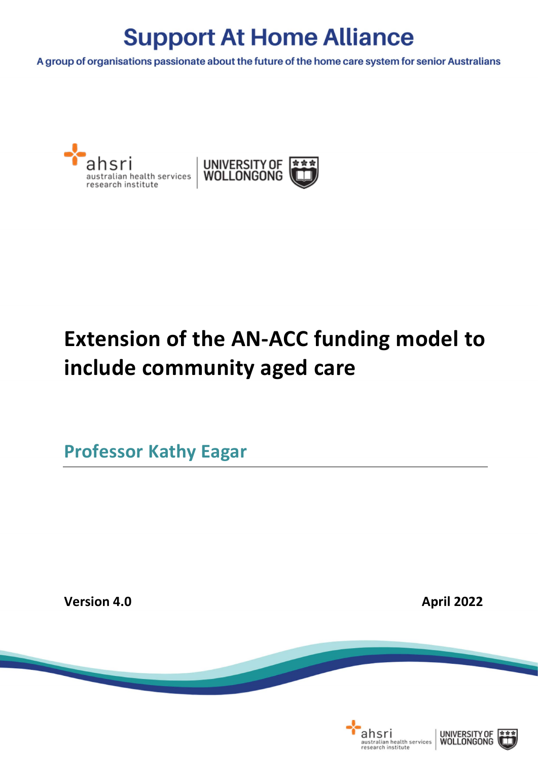A group of organisations passionate about the future of the home care system for senior Australians





# **Extension of the AN-ACC funding model to include community aged care**

**Professor Kathy Eagar**

**Version 4.0 April 2022 April** 2022

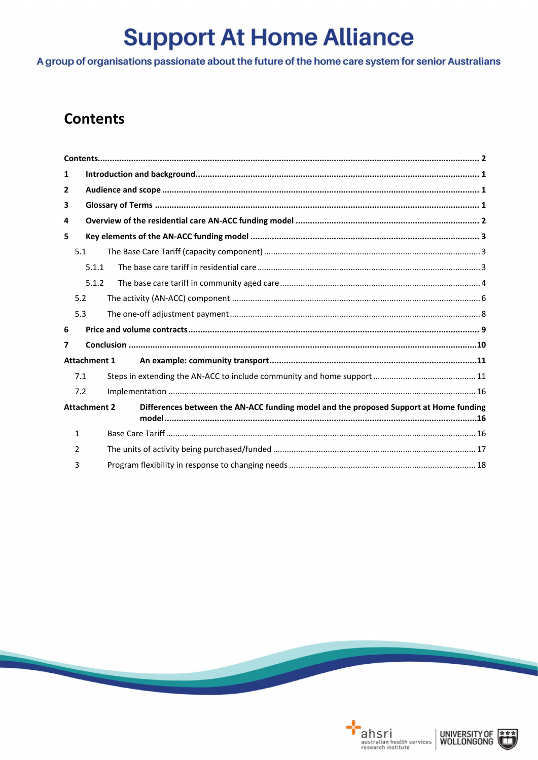A group of organisations passionate about the future of the home care system for senior Australians

### <span id="page-1-0"></span>**Contents**

| 1                   |                     |                                                                                       |  |  |  |  |
|---------------------|---------------------|---------------------------------------------------------------------------------------|--|--|--|--|
| 2                   |                     |                                                                                       |  |  |  |  |
| 3                   |                     |                                                                                       |  |  |  |  |
| 4                   |                     |                                                                                       |  |  |  |  |
| 5                   |                     |                                                                                       |  |  |  |  |
|                     | 5.1                 |                                                                                       |  |  |  |  |
|                     | 5.1.1               |                                                                                       |  |  |  |  |
|                     | 5.1.2               |                                                                                       |  |  |  |  |
|                     | 5.2                 |                                                                                       |  |  |  |  |
|                     | 5.3                 |                                                                                       |  |  |  |  |
| 6                   |                     |                                                                                       |  |  |  |  |
| 7                   |                     |                                                                                       |  |  |  |  |
|                     | <b>Attachment 1</b> |                                                                                       |  |  |  |  |
|                     | 7.1                 |                                                                                       |  |  |  |  |
|                     | 7.2                 |                                                                                       |  |  |  |  |
| <b>Attachment 2</b> |                     | Differences between the AN-ACC funding model and the proposed Support at Home funding |  |  |  |  |
|                     | 1                   |                                                                                       |  |  |  |  |
|                     | $\mathcal{P}$       |                                                                                       |  |  |  |  |
|                     | 3                   |                                                                                       |  |  |  |  |





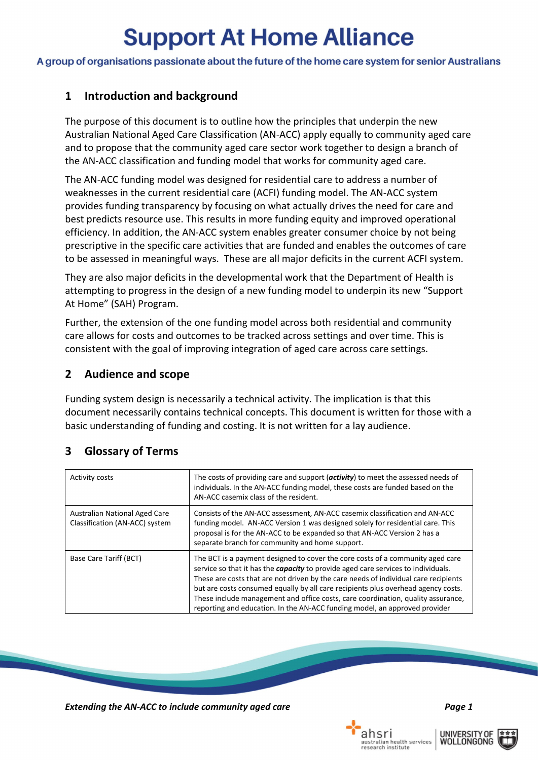A group of organisations passionate about the future of the home care system for senior Australians

### <span id="page-2-0"></span>**1 Introduction and background**

The purpose of this document is to outline how the principles that underpin the new Australian National Aged Care Classification (AN-ACC) apply equally to community aged care and to propose that the community aged care sector work together to design a branch of the AN-ACC classification and funding model that works for community aged care.

The AN-ACC funding model was designed for residential care to address a number of weaknesses in the current residential care (ACFI) funding model. The AN-ACC system provides funding transparency by focusing on what actually drives the need for care and best predicts resource use. This results in more funding equity and improved operational efficiency. In addition, the AN-ACC system enables greater consumer choice by not being prescriptive in the specific care activities that are funded and enables the outcomes of care to be assessed in meaningful ways. These are all major deficits in the current ACFI system.

They are also major deficits in the developmental work that the Department of Health is attempting to progress in the design of a new funding model to underpin its new "Support At Home" (SAH) Program.

Further, the extension of the one funding model across both residential and community care allows for costs and outcomes to be tracked across settings and over time. This is consistent with the goal of improving integration of aged care across care settings.

### <span id="page-2-1"></span>**2 Audience and scope**

Funding system design is necessarily a technical activity. The implication is that this document necessarily contains technical concepts. This document is written for those with a basic understanding of funding and costing. It is not written for a lay audience.

| <b>Activity costs</b>                                           | The costs of providing care and support ( $\alpha$ ctivity) to meet the assessed needs of<br>individuals. In the AN-ACC funding model, these costs are funded based on the<br>AN-ACC casemix class of the resident.                                                                                                                                                                                                                                                                                                      |
|-----------------------------------------------------------------|--------------------------------------------------------------------------------------------------------------------------------------------------------------------------------------------------------------------------------------------------------------------------------------------------------------------------------------------------------------------------------------------------------------------------------------------------------------------------------------------------------------------------|
| Australian National Aged Care<br>Classification (AN-ACC) system | Consists of the AN-ACC assessment, AN-ACC casemix classification and AN-ACC<br>funding model. AN-ACC Version 1 was designed solely for residential care. This<br>proposal is for the AN-ACC to be expanded so that AN-ACC Version 2 has a<br>separate branch for community and home support.                                                                                                                                                                                                                             |
| Base Care Tariff (BCT)                                          | The BCT is a payment designed to cover the core costs of a community aged care<br>service so that it has the <i>capacity</i> to provide aged care services to individuals.<br>These are costs that are not driven by the care needs of individual care recipients<br>but are costs consumed equally by all care recipients plus overhead agency costs.<br>These include management and office costs, care coordination, quality assurance,<br>reporting and education. In the AN-ACC funding model, an approved provider |

### <span id="page-2-2"></span>**3 Glossary of Terms**



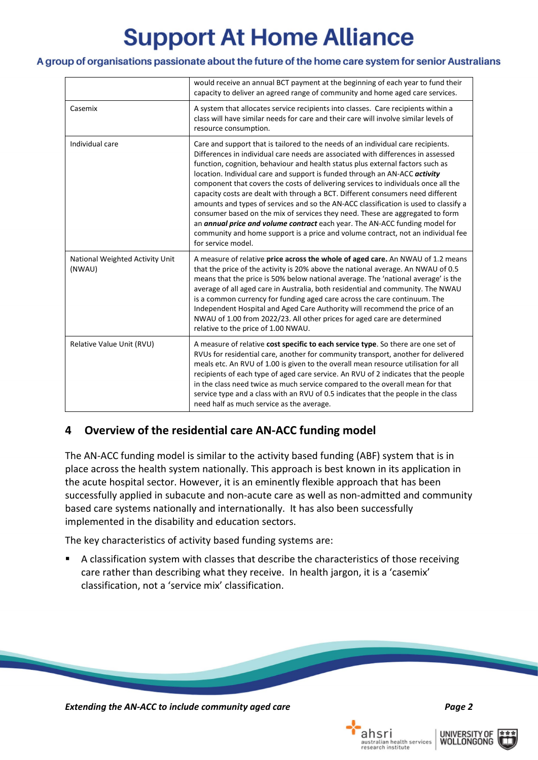#### A group of organisations passionate about the future of the home care system for senior Australians

|                                           | would receive an annual BCT payment at the beginning of each year to fund their<br>capacity to deliver an agreed range of community and home aged care services.                                                                                                                                                                                                                                                                                                                                                                                                                                                                                                                                                                                                                                                                                                                       |  |
|-------------------------------------------|----------------------------------------------------------------------------------------------------------------------------------------------------------------------------------------------------------------------------------------------------------------------------------------------------------------------------------------------------------------------------------------------------------------------------------------------------------------------------------------------------------------------------------------------------------------------------------------------------------------------------------------------------------------------------------------------------------------------------------------------------------------------------------------------------------------------------------------------------------------------------------------|--|
| Casemix                                   | A system that allocates service recipients into classes. Care recipients within a<br>class will have similar needs for care and their care will involve similar levels of<br>resource consumption.                                                                                                                                                                                                                                                                                                                                                                                                                                                                                                                                                                                                                                                                                     |  |
| Individual care                           | Care and support that is tailored to the needs of an individual care recipients.<br>Differences in individual care needs are associated with differences in assessed<br>function, cognition, behaviour and health status plus external factors such as<br>location. Individual care and support is funded through an AN-ACC activity<br>component that covers the costs of delivering services to individuals once all the<br>capacity costs are dealt with through a BCT. Different consumers need different<br>amounts and types of services and so the AN-ACC classification is used to classify a<br>consumer based on the mix of services they need. These are aggregated to form<br>an <i>annual price and volume contract</i> each year. The AN-ACC funding model for<br>community and home support is a price and volume contract, not an individual fee<br>for service model. |  |
| National Weighted Activity Unit<br>(NWAU) | A measure of relative price across the whole of aged care. An NWAU of 1.2 means<br>that the price of the activity is 20% above the national average. An NWAU of 0.5<br>means that the price is 50% below national average. The 'national average' is the<br>average of all aged care in Australia, both residential and community. The NWAU<br>is a common currency for funding aged care across the care continuum. The<br>Independent Hospital and Aged Care Authority will recommend the price of an<br>NWAU of 1.00 from 2022/23. All other prices for aged care are determined<br>relative to the price of 1.00 NWAU.                                                                                                                                                                                                                                                             |  |
| Relative Value Unit (RVU)                 | A measure of relative cost specific to each service type. So there are one set of<br>RVUs for residential care, another for community transport, another for delivered<br>meals etc. An RVU of 1.00 is given to the overall mean resource utilisation for all<br>recipients of each type of aged care service. An RVU of 2 indicates that the people<br>in the class need twice as much service compared to the overall mean for that<br>service type and a class with an RVU of 0.5 indicates that the people in the class<br>need half as much service as the average.                                                                                                                                                                                                                                                                                                               |  |

### <span id="page-3-0"></span>**4 Overview of the residential care AN-ACC funding model**

The AN-ACC funding model is similar to the activity based funding (ABF) system that is in place across the health system nationally. This approach is best known in its application in the acute hospital sector. However, it is an eminently flexible approach that has been successfully applied in subacute and non-acute care as well as non-admitted and community based care systems nationally and internationally. It has also been successfully implemented in the disability and education sectors.

The key characteristics of activity based funding systems are:

 A classification system with classes that describe the characteristics of those receiving care rather than describing what they receive. In health jargon, it is a 'casemix' classification, not a 'service mix' classification.



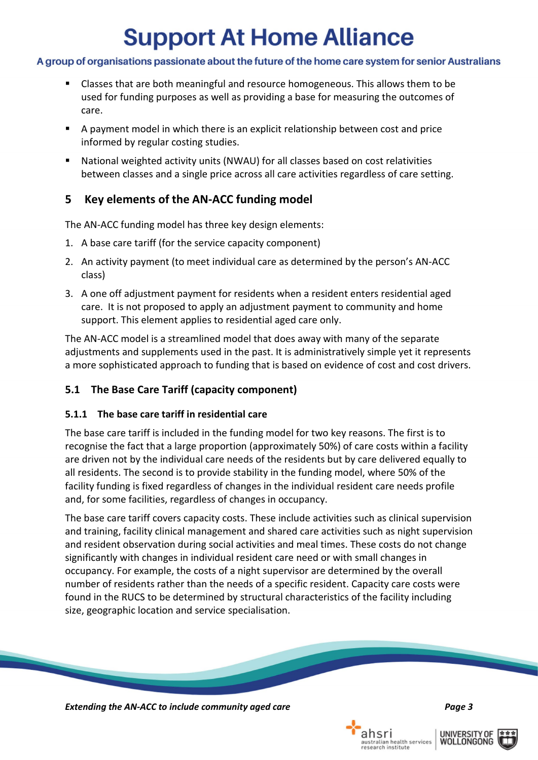### A group of organisations passionate about the future of the home care system for senior Australians

- Classes that are both meaningful and resource homogeneous. This allows them to be used for funding purposes as well as providing a base for measuring the outcomes of care.
- A payment model in which there is an explicit relationship between cost and price informed by regular costing studies.
- National weighted activity units (NWAU) for all classes based on cost relativities between classes and a single price across all care activities regardless of care setting.

### <span id="page-4-0"></span>**5 Key elements of the AN-ACC funding model**

The AN-ACC funding model has three key design elements:

- 1. A base care tariff (for the service capacity component)
- 2. An activity payment (to meet individual care as determined by the person's AN-ACC class)
- 3. A one off adjustment payment for residents when a resident enters residential aged care. It is not proposed to apply an adjustment payment to community and home support. This element applies to residential aged care only.

The AN-ACC model is a streamlined model that does away with many of the separate adjustments and supplements used in the past. It is administratively simple yet it represents a more sophisticated approach to funding that is based on evidence of cost and cost drivers.

### <span id="page-4-1"></span>**5.1 The Base Care Tariff (capacity component)**

### <span id="page-4-2"></span>**5.1.1 The base care tariff in residential care**

The base care tariff is included in the funding model for two key reasons. The first is to recognise the fact that a large proportion (approximately 50%) of care costs within a facility are driven not by the individual care needs of the residents but by care delivered equally to all residents. The second is to provide stability in the funding model, where 50% of the facility funding is fixed regardless of changes in the individual resident care needs profile and, for some facilities, regardless of changes in occupancy.

The base care tariff covers capacity costs. These include activities such as clinical supervision and training, facility clinical management and shared care activities such as night supervision and resident observation during social activities and meal times. These costs do not change significantly with changes in individual resident care need or with small changes in occupancy. For example, the costs of a night supervisor are determined by the overall number of residents rather than the needs of a specific resident. Capacity care costs were found in the RUCS to be determined by structural characteristics of the facility including size, geographic location and service specialisation.



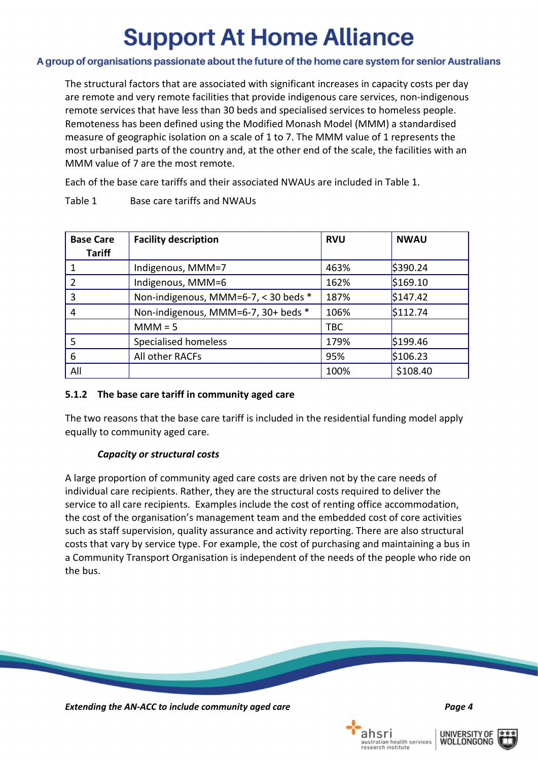### A group of organisations passionate about the future of the home care system for senior Australians

The structural factors that are associated with significant increases in capacity costs per day are remote and very remote facilities that provide indigenous care services, non-indigenous remote services that have less than 30 beds and specialised services to homeless people. Remoteness has been defined using the Modified Monash Model (MMM) a standardised measure of geographic isolation on a scale of 1 to 7. The MMM value of 1 represents the most urbanised parts of the country and, at the other end of the scale, the facilities with an MMM value of 7 are the most remote.

Each of the base care tariffs and their associated NWAUs are included in [Table 1.](#page-5-1)

| <b>Base Care</b><br><b>Tariff</b> | <b>Facility description</b>          | <b>RVU</b> | <b>NWAU</b> |
|-----------------------------------|--------------------------------------|------------|-------------|
|                                   | Indigenous, MMM=7                    | 463%       | \$390.24    |
| 2                                 | Indigenous, MMM=6                    | 162%       | \$169.10    |
| 3                                 | Non-indigenous, MMM=6-7, < 30 beds * | 187%       | \$147.42    |
| 4                                 | Non-indigenous, MMM=6-7, 30+ beds *  | 106%       | \$112.74    |
|                                   | $MM = 5$                             | <b>TBC</b> |             |
| 5                                 | <b>Specialised homeless</b>          | 179%       | \$199.46    |
| 6                                 | All other RACFs                      | 95%        | \$106.23    |
| All                               |                                      | 100%       | \$108.40    |

<span id="page-5-1"></span>Table 1 Base care tariffs and NWAUs

### <span id="page-5-0"></span>**5.1.2 The base care tariff in community aged care**

The two reasons that the base care tariff is included in the residential funding model apply equally to community aged care.

### *Capacity or structural costs*

A large proportion of community aged care costs are driven not by the care needs of individual care recipients. Rather, they are the structural costs required to deliver the service to all care recipients. Examples include the cost of renting office accommodation, the cost of the organisation's management team and the embedded cost of core activities such as staff supervision, quality assurance and activity reporting. There are also structural costs that vary by service type. For example, the cost of purchasing and maintaining a bus in a Community Transport Organisation is independent of the needs of the people who ride on the bus.



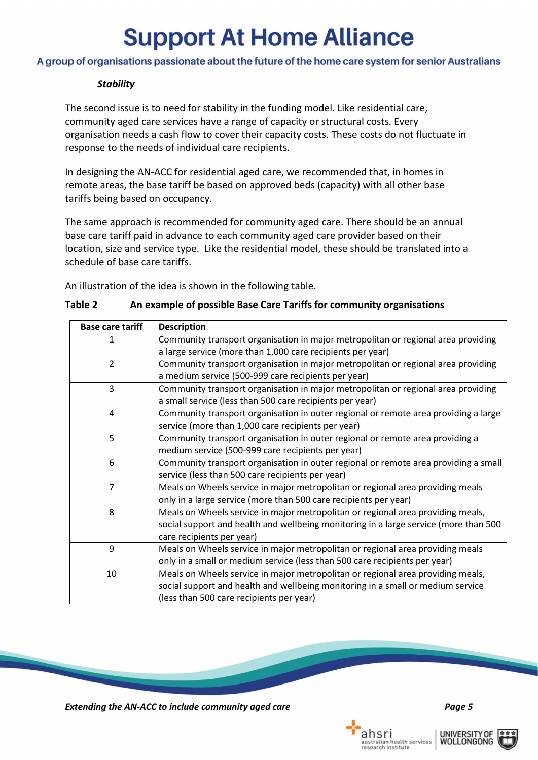#### A group of organisations passionate about the future of the home care system for senior Australians

#### *Stability*

The second issue is to need for stability in the funding model. Like residential care, community aged care services have a range of capacity or structural costs. Every organisation needs a cash flow to cover their capacity costs. These costs do not fluctuate in response to the needs of individual care recipients.

In designing the AN-ACC for residential aged care, we recommended that, in homes in remote areas, the base tariff be based on approved beds (capacity) with all other base tariffs being based on occupancy.

The same approach is recommended for community aged care. There should be an annual base care tariff paid in advance to each community aged care provider based on their location, size and service type. Like the residential model, these should be translated into a schedule of base care tariffs.

An illustration of the idea is shown in the following table.

| <b>Base care tariff</b> | <b>Description</b>                                                                                                                                                                                             |
|-------------------------|----------------------------------------------------------------------------------------------------------------------------------------------------------------------------------------------------------------|
| 1                       | Community transport organisation in major metropolitan or regional area providing<br>a large service (more than 1,000 care recipients per year)                                                                |
| $\mathcal{L}$           | Community transport organisation in major metropolitan or regional area providing<br>a medium service (500-999 care recipients per year)                                                                       |
| 3                       | Community transport organisation in major metropolitan or regional area providing<br>a small service (less than 500 care recipients per year)                                                                  |
| 4                       | Community transport organisation in outer regional or remote area providing a large<br>service (more than 1,000 care recipients per year)                                                                      |
| 5                       | Community transport organisation in outer regional or remote area providing a<br>medium service (500-999 care recipients per year)                                                                             |
| 6                       | Community transport organisation in outer regional or remote area providing a small<br>service (less than 500 care recipients per year)                                                                        |
| $\overline{7}$          | Meals on Wheels service in major metropolitan or regional area providing meals<br>only in a large service (more than 500 care recipients per year)                                                             |
| 8                       | Meals on Wheels service in major metropolitan or regional area providing meals,<br>social support and health and wellbeing monitoring in a large service (more than 500<br>care recipients per year)           |
| 9                       | Meals on Wheels service in major metropolitan or regional area providing meals<br>only in a small or medium service (less than 500 care recipients per year)                                                   |
| 10                      | Meals on Wheels service in major metropolitan or regional area providing meals,<br>social support and health and wellbeing monitoring in a small or medium service<br>(less than 500 care recipients per year) |

#### **Table 2 An example of possible Base Care Tariffs for community organisations**



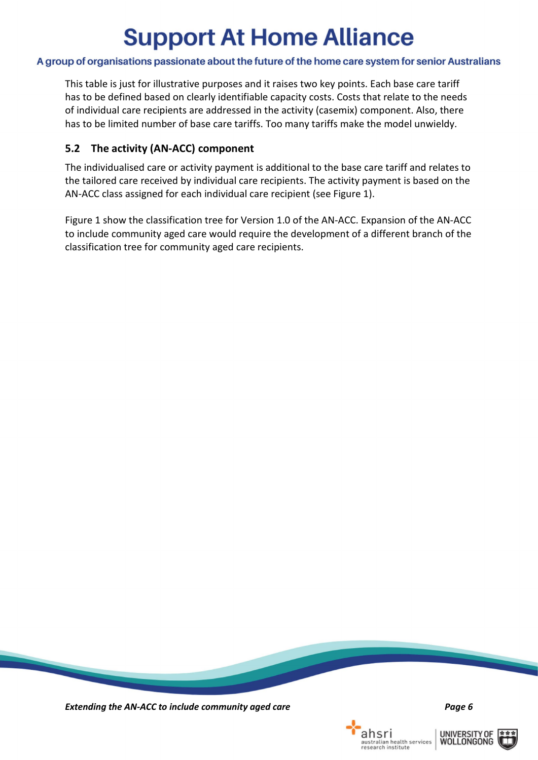#### A group of organisations passionate about the future of the home care system for senior Australians

This table is just for illustrative purposes and it raises two key points. Each base care tariff has to be defined based on clearly identifiable capacity costs. Costs that relate to the needs of individual care recipients are addressed in the activity (casemix) component. Also, there has to be limited number of base care tariffs. Too many tariffs make the model unwieldy.

### <span id="page-7-0"></span>**5.2 The activity (AN-ACC) component**

The individualised care or activity payment is additional to the base care tariff and relates to the tailored care received by individual care recipients. The activity payment is based on the AN-ACC class assigned for each individual care recipient (see [Figure 1\)](#page-8-0).

[Figure 1](#page-8-0) show the classification tree for Version 1.0 of the AN-ACC. Expansion of the AN-ACC to include community aged care would require the development of a different branch of the classification tree for community aged care recipients.



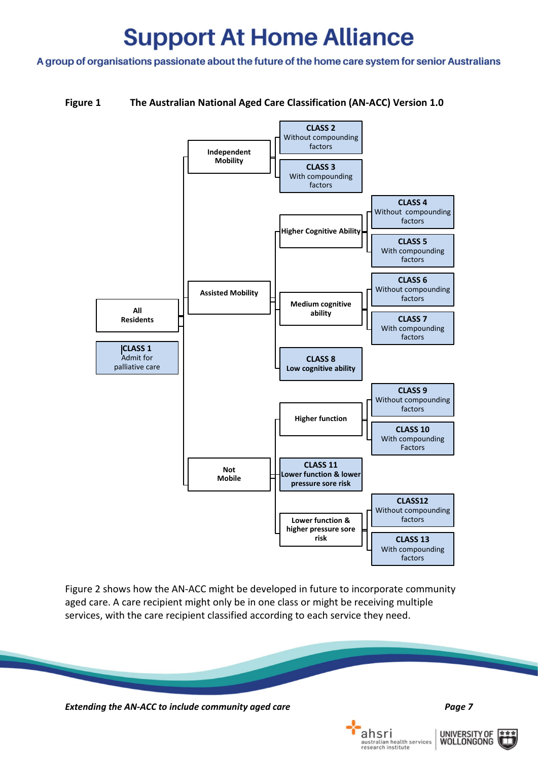A group of organisations passionate about the future of the home care system for senior Australians

#### <span id="page-8-0"></span>**Figure 1 The Australian National Aged Care Classification (AN-ACC) Version 1.0**



[Figure 2](#page-9-1) shows how the AN-ACC might be developed in future to incorporate community aged care. A care recipient might only be in one class or might be receiving multiple services, with the care recipient classified according to each service they need.



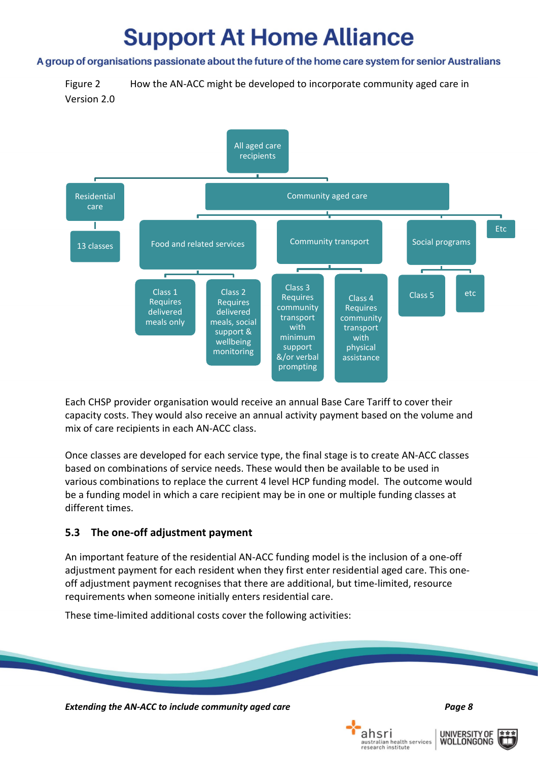#### A group of organisations passionate about the future of the home care system for senior Australians

<span id="page-9-1"></span>Figure 2 How the AN-ACC might be developed to incorporate community aged care in



Each CHSP provider organisation would receive an annual Base Care Tariff to cover their capacity costs. They would also receive an annual activity payment based on the volume and mix of care recipients in each AN-ACC class.

Once classes are developed for each service type, the final stage is to create AN-ACC classes based on combinations of service needs. These would then be available to be used in various combinations to replace the current 4 level HCP funding model. The outcome would be a funding model in which a care recipient may be in one or multiple funding classes at different times.

### <span id="page-9-0"></span>**5.3 The one-off adjustment payment**

An important feature of the residential AN-ACC funding model is the inclusion of a one-off adjustment payment for each resident when they first enter residential aged care. This oneoff adjustment payment recognises that there are additional, but time-limited, resource requirements when someone initially enters residential care.

These time-limited additional costs cover the following activities:



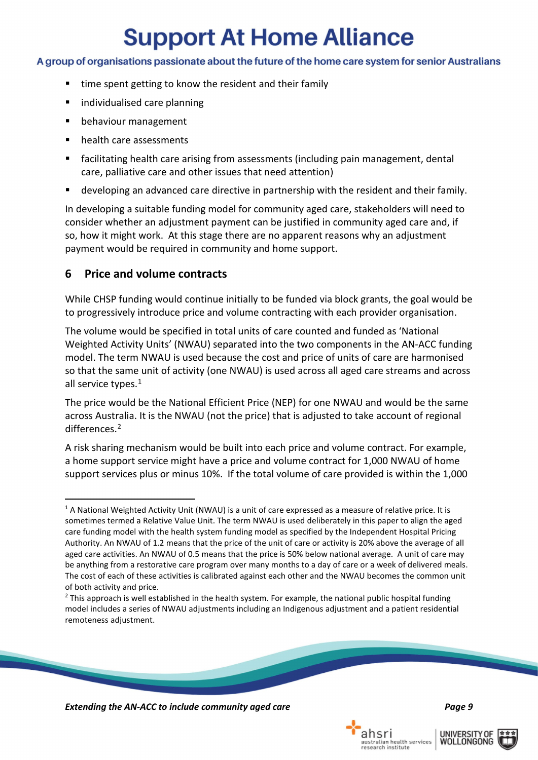#### A group of organisations passionate about the future of the home care system for senior Australians

- time spent getting to know the resident and their family
- **I** individualised care planning
- **•** behaviour management
- **•** health care assessments
- facilitating health care arising from assessments (including pain management, dental care, palliative care and other issues that need attention)
- developing an advanced care directive in partnership with the resident and their family.

In developing a suitable funding model for community aged care, stakeholders will need to consider whether an adjustment payment can be justified in community aged care and, if so, how it might work. At this stage there are no apparent reasons why an adjustment payment would be required in community and home support.

### <span id="page-10-0"></span>**6 Price and volume contracts**

While CHSP funding would continue initially to be funded via block grants, the goal would be to progressively introduce price and volume contracting with each provider organisation.

The volume would be specified in total units of care counted and funded as 'National Weighted Activity Units' (NWAU) separated into the two components in the AN-ACC funding model. The term NWAU is used because the cost and price of units of care are harmonised so that the same unit of activity (one NWAU) is used across all aged care streams and across all service types.<sup>[1](#page-10-1)</sup>

The price would be the National Efficient Price (NEP) for one NWAU and would be the same across Australia. It is the NWAU (not the price) that is adjusted to take account of regional differences.<sup>[2](#page-10-2)</sup>

A risk sharing mechanism would be built into each price and volume contract. For example, a home support service might have a price and volume contract for 1,000 NWAU of home support services plus or minus 10%. If the total volume of care provided is within the 1,000

*Extending the AN-ACC to include community aged care Page 9*

**UNIVERSITY OF** 

WOLLONGONG





<span id="page-10-1"></span><sup>&</sup>lt;sup>1</sup> A National Weighted Activity Unit (NWAU) is a unit of care expressed as a measure of relative price. It is sometimes termed a Relative Value Unit. The term NWAU is used deliberately in this paper to align the aged care funding model with the health system funding model as specified by the Independent Hospital Pricing Authority. An NWAU of 1.2 means that the price of the unit of care or activity is 20% above the average of all aged care activities. An NWAU of 0.5 means that the price is 50% below national average. A unit of care may be anything from a restorative care program over many months to a day of care or a week of delivered meals. The cost of each of these activities is calibrated against each other and the NWAU becomes the common unit of both activity and price.

<span id="page-10-2"></span> $<sup>2</sup>$  This approach is well established in the health system. For example, the national public hospital funding</sup> model includes a series of NWAU adjustments including an Indigenous adjustment and a patient residential remoteness adjustment.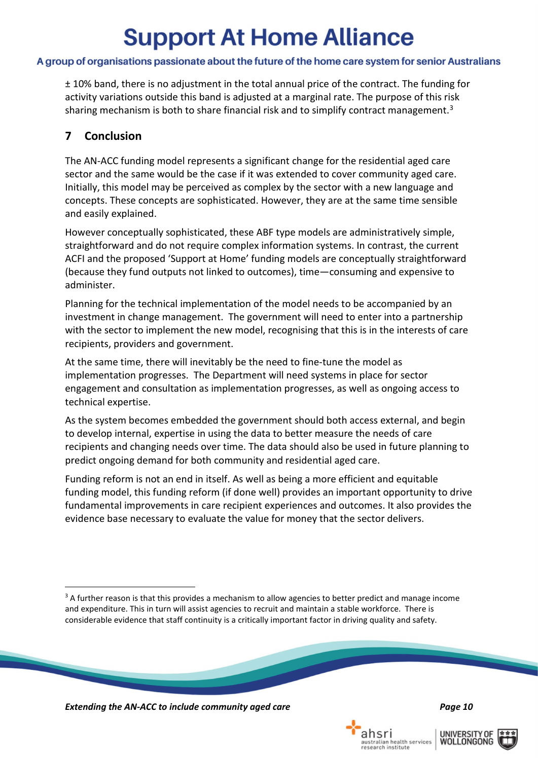### A group of organisations passionate about the future of the home care system for senior Australians

± 10% band, there is no adjustment in the total annual price of the contract. The funding for activity variations outside this band is adjusted at a marginal rate. The purpose of this risk sharing mechanism is both to share financial risk and to simplify contract management.<sup>[3](#page-11-1)</sup>

### <span id="page-11-0"></span>**7 Conclusion**

The AN-ACC funding model represents a significant change for the residential aged care sector and the same would be the case if it was extended to cover community aged care. Initially, this model may be perceived as complex by the sector with a new language and concepts. These concepts are sophisticated. However, they are at the same time sensible and easily explained.

However conceptually sophisticated, these ABF type models are administratively simple, straightforward and do not require complex information systems. In contrast, the current ACFI and the proposed 'Support at Home' funding models are conceptually straightforward (because they fund outputs not linked to outcomes), time—consuming and expensive to administer.

Planning for the technical implementation of the model needs to be accompanied by an investment in change management. The government will need to enter into a partnership with the sector to implement the new model, recognising that this is in the interests of care recipients, providers and government.

At the same time, there will inevitably be the need to fine-tune the model as implementation progresses. The Department will need systems in place for sector engagement and consultation as implementation progresses, as well as ongoing access to technical expertise.

As the system becomes embedded the government should both access external, and begin to develop internal, expertise in using the data to better measure the needs of care recipients and changing needs over time. The data should also be used in future planning to predict ongoing demand for both community and residential aged care.

Funding reform is not an end in itself. As well as being a more efficient and equitable funding model, this funding reform (if done well) provides an important opportunity to drive fundamental improvements in care recipient experiences and outcomes. It also provides the evidence base necessary to evaluate the value for money that the sector delivers.

*Extending the AN-ACC to include community aged care Page 10*

ahsri

stralian health services<br>search institute





<span id="page-11-1"></span><sup>&</sup>lt;sup>3</sup> A further reason is that this provides a mechanism to allow agencies to better predict and manage income and expenditure. This in turn will assist agencies to recruit and maintain a stable workforce. There is considerable evidence that staff continuity is a critically important factor in driving quality and safety.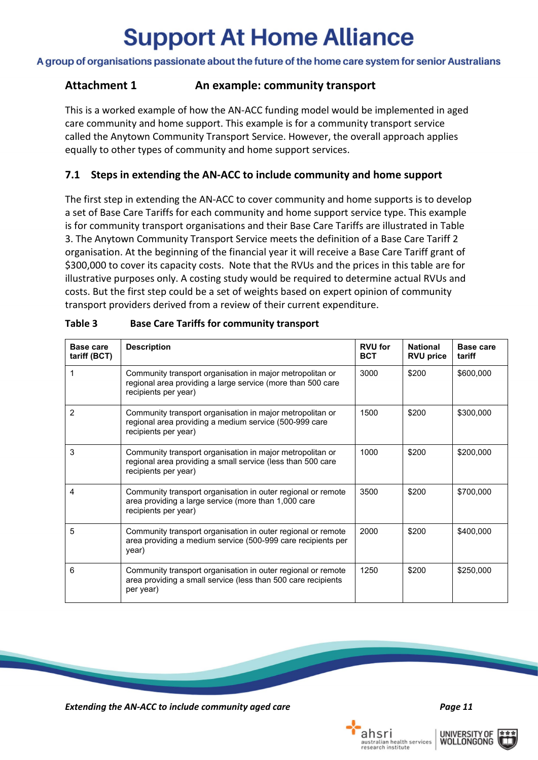A group of organisations passionate about the future of the home care system for senior Australians

### <span id="page-12-0"></span>**Attachment 1 An example: community transport**

This is a worked example of how the AN-ACC funding model would be implemented in aged care community and home support. This example is for a community transport service called the Anytown Community Transport Service. However, the overall approach applies equally to other types of community and home support services.

### <span id="page-12-1"></span>**7.1 Steps in extending the AN-ACC to include community and home support**

The first step in extending the AN-ACC to cover community and home supports is to develop a set of Base Care Tariffs for each community and home support service type. This example is for community transport organisations and their Base Care Tariffs are illustrated in [Table](#page-12-2)  [3.](#page-12-2) The Anytown Community Transport Service meets the definition of a Base Care Tariff 2 organisation. At the beginning of the financial year it will receive a Base Care Tariff grant of \$300,000 to cover its capacity costs. Note that the RVUs and the prices in this table are for illustrative purposes only. A costing study would be required to determine actual RVUs and costs. But the first step could be a set of weights based on expert opinion of community transport providers derived from a review of their current expenditure.

| Base care<br>tariff (BCT) | <b>Description</b>                                                                                                                               | <b>RVU</b> for<br><b>BCT</b> | <b>National</b><br><b>RVU price</b> | Base care<br>tariff |
|---------------------------|--------------------------------------------------------------------------------------------------------------------------------------------------|------------------------------|-------------------------------------|---------------------|
| 1                         | Community transport organisation in major metropolitan or<br>regional area providing a large service (more than 500 care<br>recipients per year) | 3000                         | \$200                               | \$600,000           |
| 2                         | Community transport organisation in major metropolitan or<br>regional area providing a medium service (500-999 care<br>recipients per year)      | 1500                         | \$200                               | \$300,000           |
| 3                         | Community transport organisation in major metropolitan or<br>regional area providing a small service (less than 500 care<br>recipients per year) | 1000                         | \$200                               | \$200,000           |
| 4                         | Community transport organisation in outer regional or remote<br>area providing a large service (more than 1,000 care<br>recipients per year)     | 3500                         | \$200                               | \$700,000           |
| 5                         | Community transport organisation in outer regional or remote<br>area providing a medium service (500-999 care recipients per<br>year)            |                              | \$200                               | \$400,000           |
| 6                         | Community transport organisation in outer regional or remote<br>area providing a small service (less than 500 care recipients<br>per year)       | 1250                         | \$200                               | \$250,000           |

<span id="page-12-2"></span>

| Table 3 | <b>Base Care Tariffs for community transport</b> |  |
|---------|--------------------------------------------------|--|
|         |                                                  |  |

*Extending the AN-ACC to include community aged care Page 11*

**UNIVERSITY OF** 

WOLLONGONG

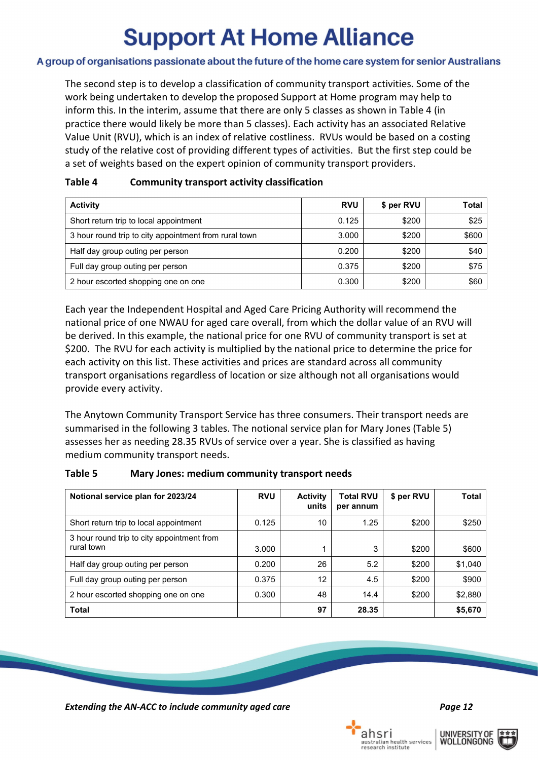#### A group of organisations passionate about the future of the home care system for senior Australians

The second step is to develop a classification of community transport activities. Some of the work being undertaken to develop the proposed Support at Home program may help to inform this. In the interim, assume that there are only 5 classes as shown in [Table 4](#page-13-0) (in practice there would likely be more than 5 classes). Each activity has an associated Relative Value Unit (RVU), which is an index of relative costliness. RVUs would be based on a costing study of the relative cost of providing different types of activities. But the first step could be a set of weights based on the expert opinion of community transport providers.

| <b>Activity</b>                                       | <b>RVU</b> | \$ per RVU | Total |
|-------------------------------------------------------|------------|------------|-------|
| Short return trip to local appointment                | 0.125      | \$200      | \$25  |
| 3 hour round trip to city appointment from rural town | 3.000      | \$200      | \$600 |
| Half day group outing per person                      | 0.200      | \$200      | \$40  |
| Full day group outing per person                      | 0.375      | \$200      | \$75  |
| 2 hour escorted shopping one on one                   | 0.300      | \$200      | \$60  |

#### <span id="page-13-0"></span>**Table 4 Community transport activity classification**

Each year the Independent Hospital and Aged Care Pricing Authority will recommend the national price of one NWAU for aged care overall, from which the dollar value of an RVU will be derived. In this example, the national price for one RVU of community transport is set at \$200. The RVU for each activity is multiplied by the national price to determine the price for each activity on this list. These activities and prices are standard across all community transport organisations regardless of location or size although not all organisations would provide every activity.

The Anytown Community Transport Service has three consumers. Their transport needs are summarised in the following 3 tables. The notional service plan for Mary Jones [\(Table 5\)](#page-13-1) assesses her as needing 28.35 RVUs of service over a year. She is classified as having medium community transport needs.

#### <span id="page-13-1"></span>**Table 5 Mary Jones: medium community transport needs**

| Notional service plan for 2023/24                        | <b>RVU</b> | <b>Activity</b><br>units | <b>Total RVU</b><br>per annum | \$ per RVU | Total   |
|----------------------------------------------------------|------------|--------------------------|-------------------------------|------------|---------|
| Short return trip to local appointment                   | 0.125      | 10                       | 1.25                          | \$200      | \$250   |
| 3 hour round trip to city appointment from<br>rural town | 3.000      |                          | 3                             | \$200      | \$600   |
| Half day group outing per person                         | 0.200      | 26                       | 5.2                           | \$200      | \$1,040 |
| Full day group outing per person                         | 0.375      | 12                       | 4.5                           | \$200      | \$900   |
| 2 hour escorted shopping one on one                      | 0.300      | 48                       | 14.4                          | \$200      | \$2,880 |
| <b>Total</b>                                             |            | 97                       | 28.35                         |            | \$5,670 |

*Extending the AN-ACC to include community aged care Page 12*

**UNIVERSITY OF** 

WOLLONGONG

ahsri

stralian health services<br>search institute

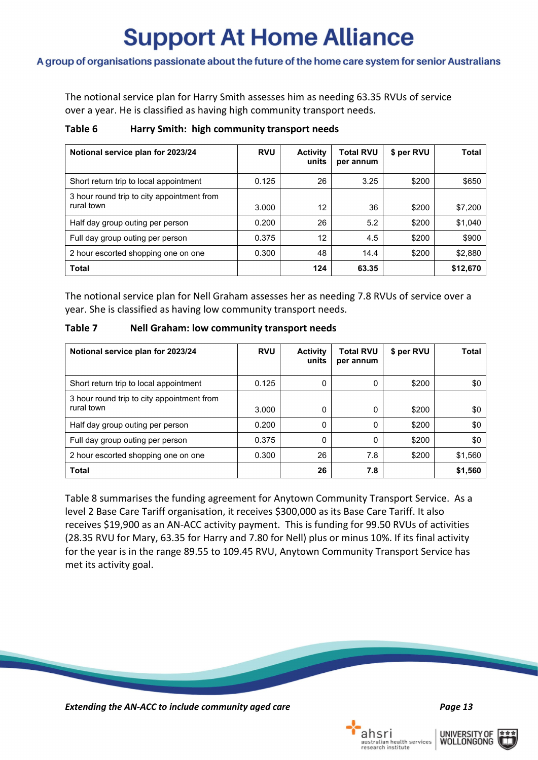#### A group of organisations passionate about the future of the home care system for senior Australians

The notional service plan for Harry Smith assesses him as needing 63.35 RVUs of service over a year. He is classified as having high community transport needs.

#### **Table 6 Harry Smith: high community transport needs**

| Notional service plan for 2023/24                        | <b>RVU</b> | <b>Activity</b><br>units | <b>Total RVU</b><br>per annum | \$ per RVU | Total    |
|----------------------------------------------------------|------------|--------------------------|-------------------------------|------------|----------|
| Short return trip to local appointment                   | 0.125      | 26                       | 3.25                          | \$200      | \$650    |
| 3 hour round trip to city appointment from<br>rural town | 3.000      | 12                       | 36                            | \$200      | \$7,200  |
| Half day group outing per person                         | 0.200      | 26                       | 5.2                           | \$200      | \$1,040  |
| Full day group outing per person                         | 0.375      | 12                       | 4.5                           | \$200      | \$900    |
| 2 hour escorted shopping one on one                      | 0.300      | 48                       | 14.4                          | \$200      | \$2,880  |
| <b>Total</b>                                             |            | 124                      | 63.35                         |            | \$12,670 |

The notional service plan for Nell Graham assesses her as needing 7.8 RVUs of service over a year. She is classified as having low community transport needs.

| Table 7 | <b>Nell Graham: low community transport needs</b> |
|---------|---------------------------------------------------|
|---------|---------------------------------------------------|

| Notional service plan for 2023/24                        | <b>RVU</b> | <b>Activity</b><br>units | <b>Total RVU</b><br>per annum | \$ per RVU | Total   |
|----------------------------------------------------------|------------|--------------------------|-------------------------------|------------|---------|
| Short return trip to local appointment                   | 0.125      | 0                        | 0                             | \$200      | \$0     |
| 3 hour round trip to city appointment from<br>rural town | 3.000      | 0                        | $\Omega$                      | \$200      | \$0     |
| Half day group outing per person                         | 0.200      | 0                        | 0                             | \$200      | \$0     |
| Full day group outing per person                         | 0.375      | 0                        | 0                             | \$200      | \$0     |
| 2 hour escorted shopping one on one                      | 0.300      | 26                       | 7.8                           | \$200      | \$1,560 |
| <b>Total</b>                                             |            | 26                       | 7.8                           |            | \$1,560 |

<span id="page-14-0"></span>[Table 8](#page-14-0) summarises the funding agreement for Anytown Community Transport Service. As a level 2 Base Care Tariff organisation, it receives \$300,000 as its Base Care Tariff. It also receives \$19,900 as an AN-ACC activity payment. This is funding for 99.50 RVUs of activities (28.35 RVU for Mary, 63.35 for Harry and 7.80 for Nell) plus or minus 10%. If its final activity for the year is in the range 89.55 to 109.45 RVU, Anytown Community Transport Service has met its activity goal.

*Extending the AN-ACC to include community aged care Page 13*



ahsri

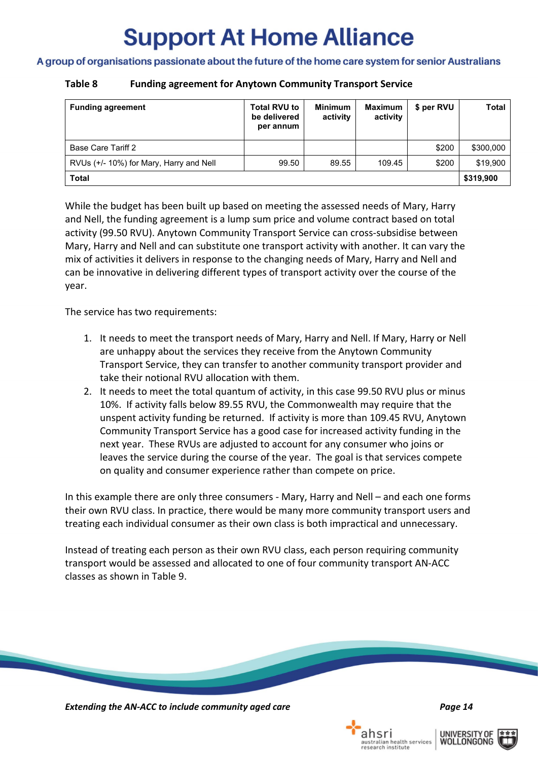#### A group of organisations passionate about the future of the home care system for senior Australians

#### **Table 8 Funding agreement for Anytown Community Transport Service**

| <b>Funding agreement</b>                | <b>Total RVU to</b><br>be delivered<br>per annum | <b>Minimum</b><br>activity | <b>Maximum</b><br>activity | \$ per RVU | <b>Total</b> |
|-----------------------------------------|--------------------------------------------------|----------------------------|----------------------------|------------|--------------|
| Base Care Tariff 2                      |                                                  |                            |                            | \$200      | \$300,000    |
| RVUs (+/- 10%) for Mary, Harry and Nell | 99.50                                            | 89.55                      | 109.45                     | \$200      | \$19,900     |
| <b>Total</b>                            |                                                  |                            |                            |            | \$319,900    |

While the budget has been built up based on meeting the assessed needs of Mary, Harry and Nell, the funding agreement is a lump sum price and volume contract based on total activity (99.50 RVU). Anytown Community Transport Service can cross-subsidise between Mary, Harry and Nell and can substitute one transport activity with another. It can vary the mix of activities it delivers in response to the changing needs of Mary, Harry and Nell and can be innovative in delivering different types of transport activity over the course of the year.

The service has two requirements:

- 1. It needs to meet the transport needs of Mary, Harry and Nell. If Mary, Harry or Nell are unhappy about the services they receive from the Anytown Community Transport Service, they can transfer to another community transport provider and take their notional RVU allocation with them.
- 2. It needs to meet the total quantum of activity, in this case 99.50 RVU plus or minus 10%. If activity falls below 89.55 RVU, the Commonwealth may require that the unspent activity funding be returned. If activity is more than 109.45 RVU, Anytown Community Transport Service has a good case for increased activity funding in the next year. These RVUs are adjusted to account for any consumer who joins or leaves the service during the course of the year. The goal is that services compete on quality and consumer experience rather than compete on price.

In this example there are only three consumers - Mary, Harry and Nell – and each one forms their own RVU class. In practice, there would be many more community transport users and treating each individual consumer as their own class is both impractical and unnecessary.

<span id="page-15-0"></span>Instead of treating each person as their own RVU class, each person requiring community transport would be assessed and allocated to one of four community transport AN-ACC classes as shown in [Table 9.](#page-15-0)

*Extending the AN-ACC to include community aged care Page 14*

ahsri

stralian health services<br>search institute



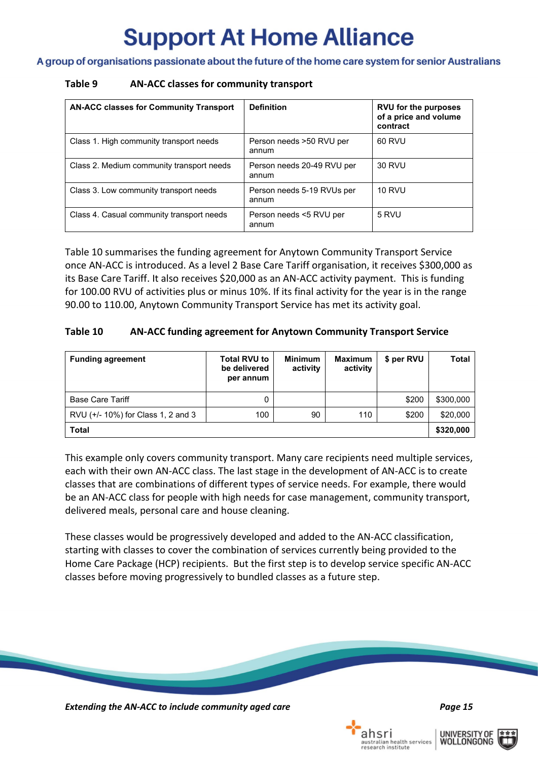A group of organisations passionate about the future of the home care system for senior Australians

#### **Table 9 AN-ACC classes for community transport**

| <b>AN-ACC classes for Community Transport</b> | <b>Definition</b>                   | <b>RVU for the purposes</b><br>of a price and volume<br>contract |
|-----------------------------------------------|-------------------------------------|------------------------------------------------------------------|
| Class 1. High community transport needs       | Person needs >50 RVU per<br>annum   | 60 RVU                                                           |
| Class 2. Medium community transport needs     | Person needs 20-49 RVU per<br>annum | 30 RVU                                                           |
| Class 3. Low community transport needs        | Person needs 5-19 RVUs per<br>annum | <b>10 RVU</b>                                                    |
| Class 4. Casual community transport needs     | Person needs <5 RVU per<br>annum    | 5 RVU                                                            |

[Table 10](#page-16-0) summarises the funding agreement for Anytown Community Transport Service once AN-ACC is introduced. As a level 2 Base Care Tariff organisation, it receives \$300,000 as its Base Care Tariff. It also receives \$20,000 as an AN-ACC activity payment. This is funding for 100.00 RVU of activities plus or minus 10%. If its final activity for the year is in the range 90.00 to 110.00, Anytown Community Transport Service has met its activity goal.

#### <span id="page-16-0"></span>**Table 10 AN-ACC funding agreement for Anytown Community Transport Service**

| <b>Funding agreement</b>           | <b>Total RVU to</b><br>be delivered<br>per annum | <b>Minimum</b><br>activity | <b>Maximum</b><br>activity | \$ per RVU | Total     |
|------------------------------------|--------------------------------------------------|----------------------------|----------------------------|------------|-----------|
| <b>Base Care Tariff</b>            | 0                                                |                            |                            | \$200      | \$300,000 |
| RVU (+/- 10%) for Class 1, 2 and 3 | 100                                              | 90                         | 110                        | \$200      | \$20,000  |
| <b>Total</b>                       |                                                  |                            |                            |            | \$320,000 |

This example only covers community transport. Many care recipients need multiple services, each with their own AN-ACC class. The last stage in the development of AN-ACC is to create classes that are combinations of different types of service needs. For example, there would be an AN-ACC class for people with high needs for case management, community transport, delivered meals, personal care and house cleaning.

These classes would be progressively developed and added to the AN-ACC classification, starting with classes to cover the combination of services currently being provided to the Home Care Package (HCP) recipients. But the first step is to develop service specific AN-ACC classes before moving progressively to bundled classes as a future step.

*Extending the AN-ACC to include community aged care Page 15*



ahsri

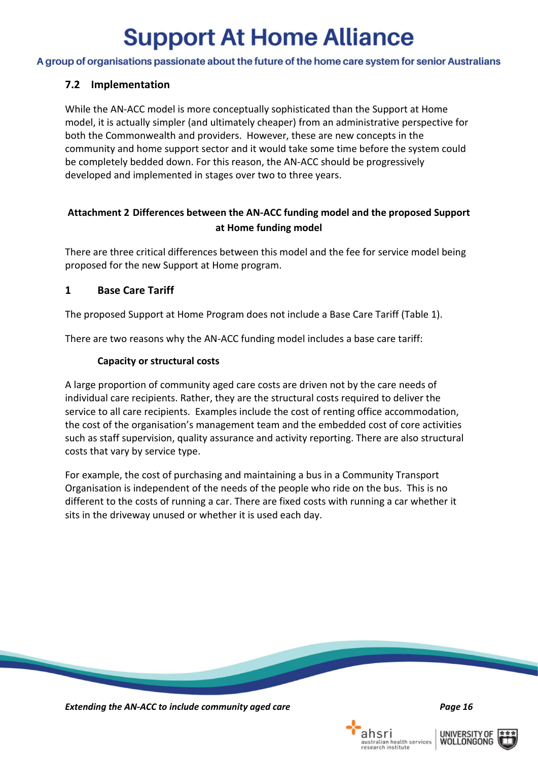A group of organisations passionate about the future of the home care system for senior Australians

### <span id="page-17-0"></span>**7.2 Implementation**

While the AN-ACC model is more conceptually sophisticated than the Support at Home model, it is actually simpler (and ultimately cheaper) from an administrative perspective for both the Commonwealth and providers. However, these are new concepts in the community and home support sector and it would take some time before the system could be completely bedded down. For this reason, the AN-ACC should be progressively developed and implemented in stages over two to three years.

### <span id="page-17-1"></span>**Attachment 2 Differences between the AN-ACC funding model and the proposed Support at Home funding model**

There are three critical differences between this model and the fee for service model being proposed for the new Support at Home program.

### <span id="page-17-2"></span>**1 Base Care Tariff**

The proposed Support at Home Program does not include a Base Care Tariff [\(Table 1\)](#page-12-2).

There are two reasons why the AN-ACC funding model includes a base care tariff:

### **Capacity or structural costs**

A large proportion of community aged care costs are driven not by the care needs of individual care recipients. Rather, they are the structural costs required to deliver the service to all care recipients. Examples include the cost of renting office accommodation, the cost of the organisation's management team and the embedded cost of core activities such as staff supervision, quality assurance and activity reporting. There are also structural costs that vary by service type.

For example, the cost of purchasing and maintaining a bus in a Community Transport Organisation is independent of the needs of the people who ride on the bus. This is no different to the costs of running a car. There are fixed costs with running a car whether it sits in the driveway unused or whether it is used each day.



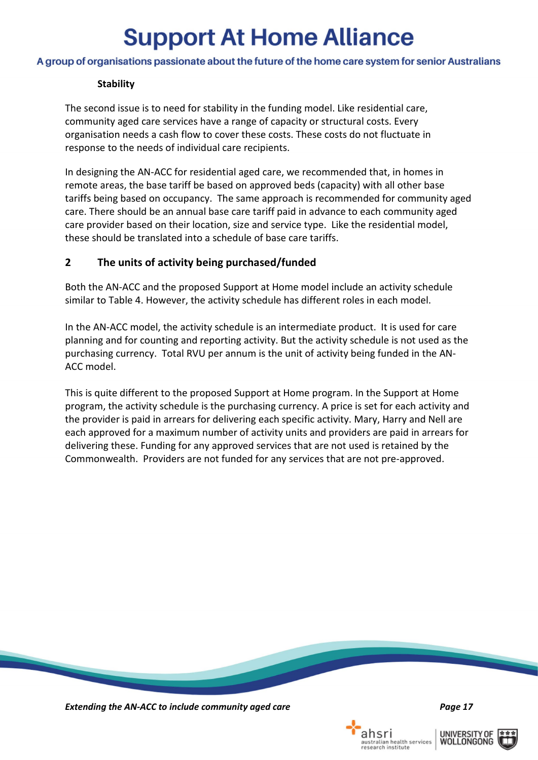#### A group of organisations passionate about the future of the home care system for senior Australians

#### **Stability**

The second issue is to need for stability in the funding model. Like residential care, community aged care services have a range of capacity or structural costs. Every organisation needs a cash flow to cover these costs. These costs do not fluctuate in response to the needs of individual care recipients.

In designing the AN-ACC for residential aged care, we recommended that, in homes in remote areas, the base tariff be based on approved beds (capacity) with all other base tariffs being based on occupancy. The same approach is recommended for community aged care. There should be an annual base care tariff paid in advance to each community aged care provider based on their location, size and service type. Like the residential model, these should be translated into a schedule of base care tariffs.

#### <span id="page-18-0"></span>**2 The units of activity being purchased/funded**

Both the AN-ACC and the proposed Support at Home model include an activity schedule similar to [Table 4.](#page-13-0) However, the activity schedule has different roles in each model.

In the AN-ACC model, the activity schedule is an intermediate product. It is used for care planning and for counting and reporting activity. But the activity schedule is not used as the purchasing currency. Total RVU per annum is the unit of activity being funded in the AN-ACC model.

<span id="page-18-1"></span>This is quite different to the proposed Support at Home program. In the Support at Home program, the activity schedule is the purchasing currency. A price is set for each activity and the provider is paid in arrears for delivering each specific activity. Mary, Harry and Nell are each approved for a maximum number of activity units and providers are paid in arrears for delivering these. Funding for any approved services that are not used is retained by the Commonwealth. Providers are not funded for any services that are not pre-approved.